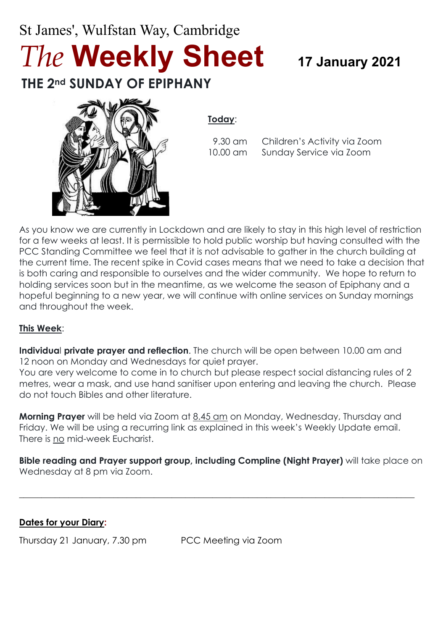# St James', Wulfstan Way, Cambridge *The* **Weekly Sheet <sup>17</sup> January 2021**

# **THE 2nd SUNDAY OF EPIPHANY**



#### **Today**:

9.30 am Children's Activity via Zoom 10.00 am Sunday Service via Zoom

As you know we are currently in Lockdown and are likely to stay in this high level of restriction for a few weeks at least. It is permissible to hold public worship but having consulted with the PCC Standing Committee we feel that it is not advisable to gather in the church building at the current time. The recent spike in Covid cases means that we need to take a decision that is both caring and responsible to ourselves and the wider community. We hope to return to holding services soon but in the meantime, as we welcome the season of Epiphany and a hopeful beginning to a new year, we will continue with online services on Sunday mornings and throughout the week.

#### **This Week**:

**Individua**l **private prayer and reflection**. The church will be open between 10.00 am and 12 noon on Monday and Wednesdays for quiet prayer.

You are very welcome to come in to church but please respect social distancing rules of 2 metres, wear a mask, and use hand sanitiser upon entering and leaving the church. Please do not touch Bibles and other literature.

**Morning Prayer** will be held via Zoom at 8.45 am on Monday, Wednesday, Thursday and Friday. We will be using a recurring link as explained in this week's Weekly Update email. There is no mid-week Eucharist.

**Bible reading and Prayer support group, including Compline (Night Prayer)** will take place on Wednesday at 8 pm via Zoom.

 $\_$  , and the set of the set of the set of the set of the set of the set of the set of the set of the set of the set of the set of the set of the set of the set of the set of the set of the set of the set of the set of th

#### **Dates for your Diary:**

Thursday 21 January, 7.30 pm PCC Meeting via Zoom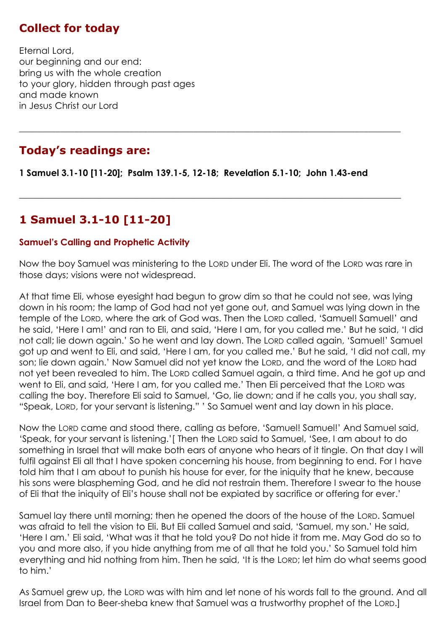## **Collect for today**

Eternal Lord, our beginning and our end: bring us with the whole creation to your glory, hidden through past ages and made known in Jesus Christ our Lord

#### **Today's readings are:**

**1 Samuel 3.1-10 [11-20]; Psalm 139.1-5, 12-18; Revelation 5.1-10; John 1.43-end**

\_\_\_\_\_\_\_\_\_\_\_\_\_\_\_\_\_\_\_\_\_\_\_\_\_\_\_\_\_\_\_\_\_\_\_\_\_\_\_\_\_\_\_\_\_\_\_\_\_\_\_\_\_\_\_\_\_\_\_\_\_\_\_\_\_\_\_\_\_\_\_\_\_\_\_\_\_\_\_\_\_\_\_

 $\_$  , and the set of the set of the set of the set of the set of the set of the set of the set of the set of the set of the set of the set of the set of the set of the set of the set of the set of the set of the set of th

# **1 Samuel 3.1-10 [11-20]**

#### **Samuel's Calling and Prophetic Activity**

Now the boy Samuel was ministering to the LORD under Eli. The word of the LORD was rare in those days; visions were not widespread.

At that time Eli, whose eyesight had begun to grow dim so that he could not see, was lying down in his room; the lamp of God had not yet gone out, and Samuel was lying down in the temple of the LORD, where the ark of God was. Then the LORD called, 'Samuel! Samuel!' and he said, 'Here I am!' and ran to Eli, and said, 'Here I am, for you called me.' But he said, 'I did not call; lie down again.' So he went and lay down. The LORD called again, 'Samuel!' Samuel got up and went to Eli, and said, 'Here I am, for you called me.' But he said, 'I did not call, my son; lie down again.' Now Samuel did not yet know the LORD, and the word of the LORD had not yet been revealed to him. The LORD called Samuel again, a third time. And he got up and went to Eli, and said, 'Here I am, for you called me.' Then Eli perceived that the LORD was calling the boy. Therefore Eli said to Samuel, 'Go, lie down; and if he calls you, you shall say, "Speak, LORD, for your servant is listening." ' So Samuel went and lay down in his place.

Now the LORD came and stood there, calling as before, 'Samuel! Samuel!' And Samuel said, 'Speak, for your servant is listening.'[ Then the LORD said to Samuel, 'See, I am about to do something in Israel that will make both ears of anyone who hears of it tingle. On that day I will fulfil against Eli all that I have spoken concerning his house, from beginning to end. For I have told him that I am about to punish his house for ever, for the iniquity that he knew, because his sons were blaspheming God, and he did not restrain them. Therefore I swear to the house of Eli that the iniquity of Eli's house shall not be expiated by sacrifice or offering for ever.'

Samuel lay there until morning; then he opened the doors of the house of the LORD. Samuel was afraid to tell the vision to Eli. But Eli called Samuel and said, 'Samuel, my son.' He said, 'Here I am.' Eli said, 'What was it that he told you? Do not hide it from me. May God do so to you and more also, if you hide anything from me of all that he told you.' So Samuel told him everything and hid nothing from him. Then he said, 'It is the LORD; let him do what seems good to him.'

As Samuel grew up, the LORD was with him and let none of his words fall to the ground. And all Israel from Dan to Beer-sheba knew that Samuel was a trustworthy prophet of the LORD.]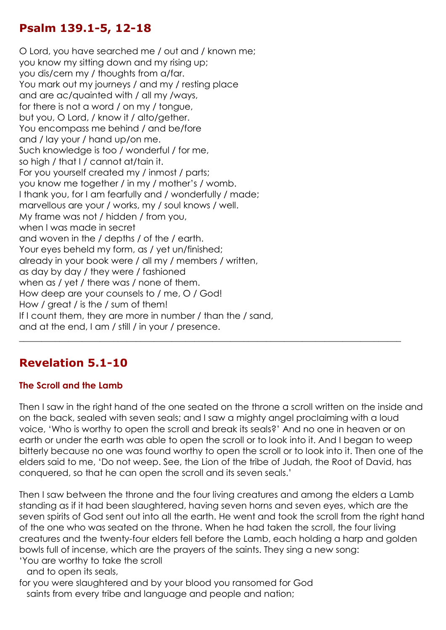# **Psalm 139.1-5, 12-18**

O Lord, you have searched me / out and / known me; you know my sitting down and my rising up; you dis/cern my / thoughts from a/far. You mark out my journeys / and my / resting place and are ac/quainted with / all my /ways, for there is not a word / on my / tongue, but you, O Lord, / know it / alto/gether. You encompass me behind / and be/fore and / lay your / hand up/on me. Such knowledge is too / wonderful / for me, so high / that I / cannot at/tain it. For you yourself created my / inmost / parts; you know me together / in my / mother's / womb. I thank you, for I am fearfully and / wonderfully / made; marvellous are your / works, my / soul knows / well. My frame was not / hidden / from you, when I was made in secret and woven in the / depths / of the / earth. Your eyes beheld my form, as / yet un/finished; already in your book were / all my / members / written, as day by day / they were / fashioned when as / yet / there was / none of them. How deep are your counsels to / me, O / God! How / great / is the / sum of them! If I count them, they are more in number / than the / sand, and at the end, I am / still / in your / presence.

# **Revelation 5.1-10**

#### **The Scroll and the Lamb**

Then I saw in the right hand of the one seated on the throne a scroll written on the inside and on the back, sealed with seven seals; and I saw a mighty angel proclaiming with a loud voice, 'Who is worthy to open the scroll and break its seals?' And no one in heaven or on earth or under the earth was able to open the scroll or to look into it. And I began to weep bitterly because no one was found worthy to open the scroll or to look into it. Then one of the elders said to me, 'Do not weep. See, the Lion of the tribe of Judah, the Root of David, has conquered, so that he can open the scroll and its seven seals.'

 $\_$  , and the set of the set of the set of the set of the set of the set of the set of the set of the set of the set of the set of the set of the set of the set of the set of the set of the set of the set of the set of th

Then I saw between the throne and the four living creatures and among the elders a Lamb standing as if it had been slaughtered, having seven horns and seven eyes, which are the seven spirits of God sent out into all the earth. He went and took the scroll from the right hand of the one who was seated on the throne. When he had taken the scroll, the four living creatures and the twenty-four elders fell before the Lamb, each holding a harp and golden bowls full of incense, which are the prayers of the saints. They sing a new song: 'You are worthy to take the scroll

and to open its seals,

for you were slaughtered and by your blood you ransomed for God saints from every tribe and language and people and nation;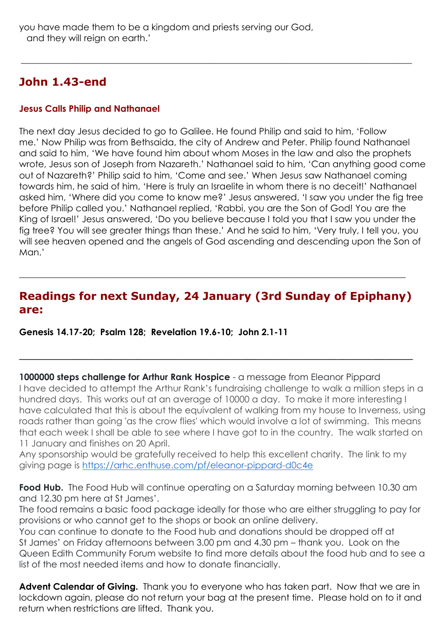# **John 1.43-end**

#### **Jesus Calls Philip and Nathanael**

The next day Jesus decided to go to Galilee. He found Philip and said to him, 'Follow me.' Now Philip was from Bethsaida, the city of Andrew and Peter. Philip found Nathanael and said to him, 'We have found him about whom Moses in the law and also the prophets wrote, Jesus son of Joseph from Nazareth.' Nathanael said to him, 'Can anything good come out of Nazareth?' Philip said to him, 'Come and see.' When Jesus saw Nathanael coming towards him, he said of him, 'Here is truly an Israelite in whom there is no deceit!' Nathanael asked him, 'Where did you come to know me?' Jesus answered, 'I saw you under the fig tree before Philip called you.' Nathanael replied, 'Rabbi, you are the Son of God! You are the King of Israel!' Jesus answered, 'Do you believe because I told you that I saw you under the fig tree? You will see greater things than these.' And he said to him, 'Very truly, I tell you, you will see heaven opened and the angels of God ascending and descending upon the Son of Man<sup>'</sup>

 $\_$  , and the set of the set of the set of the set of the set of the set of the set of the set of the set of the set of the set of the set of the set of the set of the set of the set of the set of the set of the set of th

## **Readings for next Sunday, 24 January (3rd Sunday of Epiphany) are:**

\_\_\_\_\_\_\_\_\_\_\_\_\_\_\_\_\_\_\_\_\_\_\_\_\_\_\_\_\_\_\_\_\_\_\_\_\_\_\_\_\_\_\_\_\_\_\_\_\_\_\_\_\_\_\_\_\_

**\_\_\_\_\_\_\_\_\_\_\_\_\_\_\_\_\_\_\_\_\_\_\_\_\_\_\_\_\_\_\_\_\_\_\_\_\_\_\_\_\_\_\_\_\_\_\_\_\_\_\_\_\_\_\_\_\_\_\_\_\_\_\_\_\_\_\_\_\_\_\_\_\_\_\_\_\_\_\_\_\_\_\_\_\_\_**

**Genesis 14.17-20; Psalm 128; Revelation 19.6-10; John 2.1-11**

**1000000 steps challenge for Arthur Rank Hospice** - a message from Eleanor Pippard

I have decided to attempt the Arthur Rank's fundraising challenge to walk a million steps in a hundred days. This works out at an average of 10000 a day. To make it more interesting I have calculated that this is about the equivalent of walking from my house to Inverness, using roads rather than going 'as the crow flies' which would involve a lot of swimming. This means that each week I shall be able to see where I have got to in the country. The walk started on 11 January and finishes on 20 April.

Any sponsorship would be gratefully received to help this excellent charity. The link to my giving page is <https://arhc.enthuse.com/pf/eleanor-pippard-d0c4e>

**Food Hub.** The Food Hub will continue operating on a Saturday morning between 10.30 am and 12.30 pm here at St James'.

The food remains a basic food package ideally for those who are either struggling to pay for provisions or who cannot get to the shops or book an online delivery.

You can continue to donate to the Food hub and donations should be dropped off at St James' on Friday afternoons between 3.00 pm and 4.30 pm – thank you. Look on the Queen Edith Community Forum website to find more details about the food hub and to see a list of the most needed items and how to donate financially.

**Advent Calendar of Giving.** Thank you to everyone who has taken part. Now that we are in lockdown again, please do not return your bag at the present time. Please hold on to it and return when restrictions are lifted. Thank you.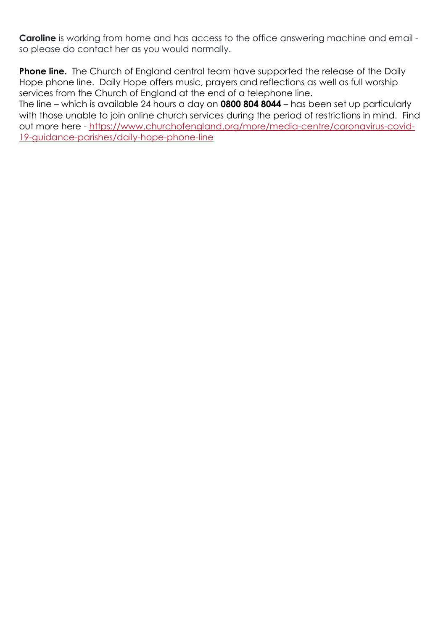**Caroline** is working from home and has access to the office answering machine and email so please do contact her as you would normally.

**Phone line.** The Church of England central team have supported the release of the Daily Hope phone line. Daily Hope offers music, prayers and reflections as well as full worship services from the Church of England at the end of a telephone line.

The line – which is available 24 hours a day on **0800 804 8044** – has been set up particularly with those unable to join online church services during the period of restrictions in mind. Find out more here - [https://www.churchofengland.org/more/media-centre/coronavirus-covid-](https://www.churchofengland.org/more/media-centre/coronavirus-covid-19-guidance-parishes/daily-hope-phone-line)[19-guidance-parishes/daily-hope-phone-line](https://www.churchofengland.org/more/media-centre/coronavirus-covid-19-guidance-parishes/daily-hope-phone-line)